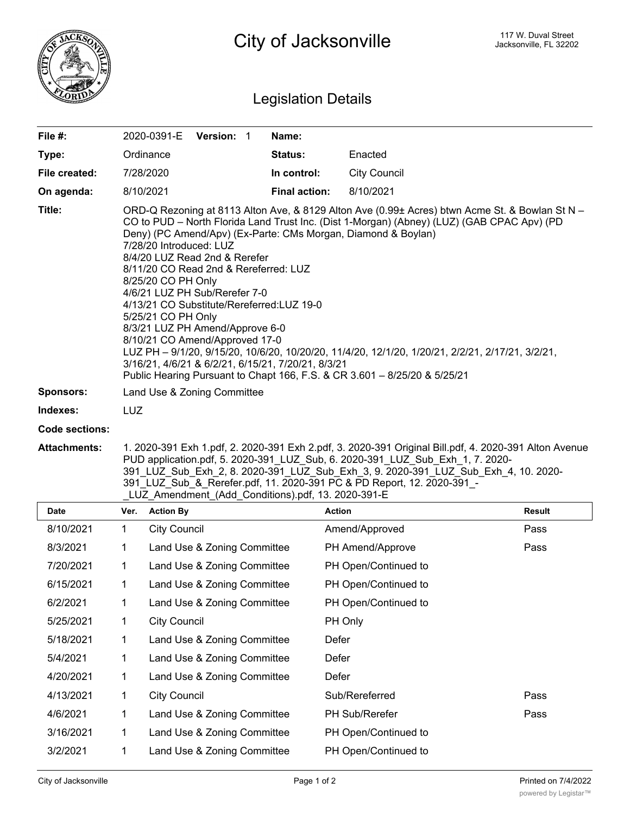

## Legislation Details

| File #:          | 2020-0391-E                                                                                                                                                                                                                                                                                                                                                                                                                                                                                                                                                                                                                                                                                                                                                                                               | <b>Version: 1</b> |  | Name:                |                     |  |  |
|------------------|-----------------------------------------------------------------------------------------------------------------------------------------------------------------------------------------------------------------------------------------------------------------------------------------------------------------------------------------------------------------------------------------------------------------------------------------------------------------------------------------------------------------------------------------------------------------------------------------------------------------------------------------------------------------------------------------------------------------------------------------------------------------------------------------------------------|-------------------|--|----------------------|---------------------|--|--|
| Type:            | Ordinance                                                                                                                                                                                                                                                                                                                                                                                                                                                                                                                                                                                                                                                                                                                                                                                                 |                   |  | <b>Status:</b>       | Enacted             |  |  |
| File created:    | 7/28/2020                                                                                                                                                                                                                                                                                                                                                                                                                                                                                                                                                                                                                                                                                                                                                                                                 |                   |  | In control:          | <b>City Council</b> |  |  |
| On agenda:       | 8/10/2021                                                                                                                                                                                                                                                                                                                                                                                                                                                                                                                                                                                                                                                                                                                                                                                                 |                   |  | <b>Final action:</b> | 8/10/2021           |  |  |
| Title:           | ORD-Q Rezoning at 8113 Alton Ave, & 8129 Alton Ave (0.99± Acres) btwn Acme St. & Bowlan St N -<br>CO to PUD – North Florida Land Trust Inc. (Dist 1-Morgan) (Abney) (LUZ) (GAB CPAC Apv) (PD<br>Deny) (PC Amend/Apv) (Ex-Parte: CMs Morgan, Diamond & Boylan)<br>7/28/20 Introduced: LUZ<br>8/4/20 LUZ Read 2nd & Rerefer<br>8/11/20 CO Read 2nd & Rereferred: LUZ<br>8/25/20 CO PH Only<br>4/6/21 LUZ PH Sub/Rerefer 7-0<br>4/13/21 CO Substitute/Rereferred: LUZ 19-0<br>5/25/21 CO PH Only<br>8/3/21 LUZ PH Amend/Approve 6-0<br>8/10/21 CO Amend/Approved 17-0<br>LUZ PH - 9/1/20, 9/15/20, 10/6/20, 10/20/20, 11/4/20, 12/1/20, 1/20/21, 2/2/21, 2/17/21, 3/2/21,<br>3/16/21, 4/6/21 & 6/2/21, 6/15/21, 7/20/21, 8/3/21<br>Public Hearing Pursuant to Chapt 166, F.S. & CR 3.601 - 8/25/20 & 5/25/21 |                   |  |                      |                     |  |  |
| <b>Sponsors:</b> | Land Use & Zoning Committee                                                                                                                                                                                                                                                                                                                                                                                                                                                                                                                                                                                                                                                                                                                                                                               |                   |  |                      |                     |  |  |
| Indexes:         | LUZ                                                                                                                                                                                                                                                                                                                                                                                                                                                                                                                                                                                                                                                                                                                                                                                                       |                   |  |                      |                     |  |  |
| Code sections:   |                                                                                                                                                                                                                                                                                                                                                                                                                                                                                                                                                                                                                                                                                                                                                                                                           |                   |  |                      |                     |  |  |

**Attachments:** 1. 2020-391 Exh 1.pdf, 2. 2020-391 Exh 2.pdf, 3. 2020-391 Original Bill.pdf, 4. 2020-391 Alton Avenue PUD application.pdf, 5. 2020-391\_LUZ\_Sub, 6. 2020-391\_LUZ\_Sub\_Exh\_1, 7. 2020- 391\_LUZ\_Sub\_Exh\_2, 8. 2020-391\_LUZ\_Sub\_Exh\_3, 9. 2020-391\_LUZ\_Sub\_Exh\_4, 10. 2020- 391\_LUZ\_Sub\_&\_Rerefer.pdf, 11. 2020-391 PC & PD Report, 12. 2020-391\_- LUZ\_Amendment\_(Add\_Conditions).pdf, 13. 2020-391-E

| Date      | Ver.        | <b>Action By</b>            | <b>Action</b>         | <b>Result</b> |
|-----------|-------------|-----------------------------|-----------------------|---------------|
| 8/10/2021 | 1           | <b>City Council</b>         | Amend/Approved        | Pass          |
| 8/3/2021  | 1           | Land Use & Zoning Committee | PH Amend/Approve      | Pass          |
| 7/20/2021 | 1           | Land Use & Zoning Committee | PH Open/Continued to  |               |
| 6/15/2021 | 1           | Land Use & Zoning Committee | PH Open/Continued to  |               |
| 6/2/2021  | 1           | Land Use & Zoning Committee | PH Open/Continued to  |               |
| 5/25/2021 | $\mathbf 1$ | <b>City Council</b>         | PH Only               |               |
| 5/18/2021 | 1           | Land Use & Zoning Committee | Defer                 |               |
| 5/4/2021  |             | Land Use & Zoning Committee | Defer                 |               |
| 4/20/2021 | 1           | Land Use & Zoning Committee | Defer                 |               |
| 4/13/2021 | 1           | <b>City Council</b>         | Sub/Rereferred        | Pass          |
| 4/6/2021  | 1           | Land Use & Zoning Committee | <b>PH Sub/Rerefer</b> | Pass          |
| 3/16/2021 | 1           | Land Use & Zoning Committee | PH Open/Continued to  |               |
| 3/2/2021  | 1           | Land Use & Zoning Committee | PH Open/Continued to  |               |